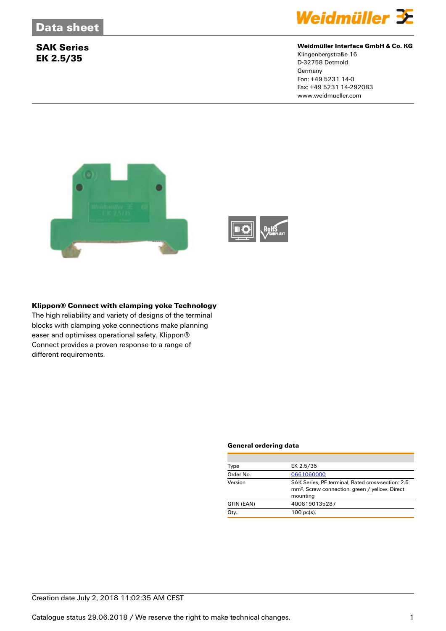

### **Weidmüller Interface GmbH & Co. KG**

Klingenbergstraße 16 D-32758 Detmold **Germany** Fon: +49 5231 14-0 Fax: +49 5231 14-292083 www.weidmueller.com



### **Klippon® Connect with clamping yoke Technology**

The high reliability and variety of designs of the terminal blocks with clamping yoke connections make planning easer and optimises operational safety. Klippon® Connect provides a proven response to a range of different requirements.

#### **General ordering data**

| EK 2.5/35<br>Type                                                                                                                      |  |
|----------------------------------------------------------------------------------------------------------------------------------------|--|
| Order No.<br>0661060000                                                                                                                |  |
| Version<br>SAK Series, PE terminal, Rated cross-section: 2.5<br>mm <sup>2</sup> , Screw connection, green / yellow, Direct<br>mounting |  |
| 4008190135287<br>GTIN (EAN)                                                                                                            |  |
| Qty.<br>$100$ pc(s).                                                                                                                   |  |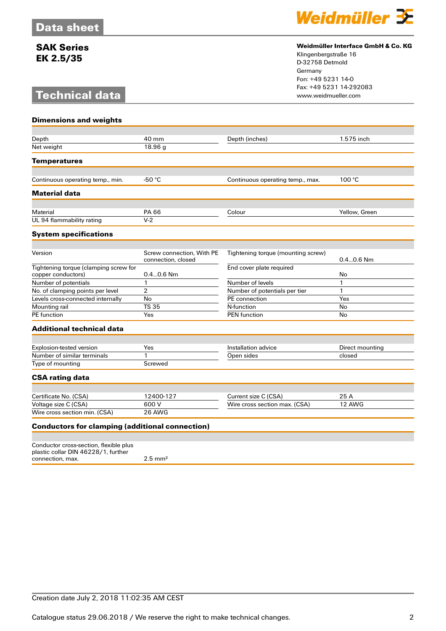# **Technical data**



### **Weidmüller Interface GmbH & Co. KG**

Klingenbergstraße 16 D-32758 Detmold Germany Fon: +49 5231 14-0 Fax: +49 5231 14-292083

| <b>Dimensions and weights</b>                                                 |                                                 |                                    |                 |
|-------------------------------------------------------------------------------|-------------------------------------------------|------------------------------------|-----------------|
|                                                                               |                                                 |                                    |                 |
| Depth                                                                         | 40 mm                                           | Depth (inches)                     | 1.575 inch      |
| Net weight                                                                    | 18.96 g                                         |                                    |                 |
| <b>Temperatures</b>                                                           |                                                 |                                    |                 |
|                                                                               |                                                 |                                    |                 |
| Continuous operating temp., min.                                              | $-50 °C$                                        | Continuous operating temp., max.   | 100 °C          |
| <b>Material data</b>                                                          |                                                 |                                    |                 |
|                                                                               |                                                 |                                    |                 |
| Material                                                                      | PA 66                                           | Colour                             | Yellow, Green   |
| UL 94 flammability rating                                                     | $V-2$                                           |                                    |                 |
| <b>System specifications</b>                                                  |                                                 |                                    |                 |
|                                                                               |                                                 |                                    |                 |
| Version                                                                       | Screw connection, With PE<br>connection, closed | Tightening torque (mounting screw) | $0.40.6$ Nm     |
| Tightening torque (clamping screw for<br>copper conductors)                   | $0.40.6$ Nm                                     | End cover plate required           | No              |
| Number of potentials                                                          | $\mathbf{1}$                                    | Number of levels                   | $\mathbf{1}$    |
| No. of clamping points per level                                              | 2                                               | Number of potentials per tier      | $\mathbf{1}$    |
| Levels cross-connected internally                                             | No                                              | PE connection                      | Yes             |
| Mounting rail                                                                 | <b>TS 35</b>                                    | N-function                         | No              |
| <b>PE</b> function                                                            | Yes                                             | <b>PEN</b> function                | No              |
| <b>Additional technical data</b>                                              |                                                 |                                    |                 |
|                                                                               |                                                 |                                    |                 |
| <b>Explosion-tested version</b>                                               | Yes                                             | Installation advice                | Direct mounting |
| Number of similar terminals                                                   | 1                                               | Open sides                         | closed          |
| Type of mounting                                                              | Screwed                                         |                                    |                 |
| <b>CSA rating data</b>                                                        |                                                 |                                    |                 |
|                                                                               |                                                 |                                    |                 |
| Certificate No. (CSA)                                                         | 12400-127                                       | Current size C (CSA)               | 25 A            |
| Voltage size C (CSA)                                                          | 600 V                                           | Wire cross section max. (CSA)      | 12 AWG          |
| Wire cross section min. (CSA)                                                 | 26 AWG                                          |                                    |                 |
| <b>Conductors for clamping (additional connection)</b>                        |                                                 |                                    |                 |
|                                                                               |                                                 |                                    |                 |
| Conductor cross-section, flexible plus<br>plastic collar DIN 46228/1, further |                                                 |                                    |                 |

connection, max.  $2.5 \text{ mm}^2$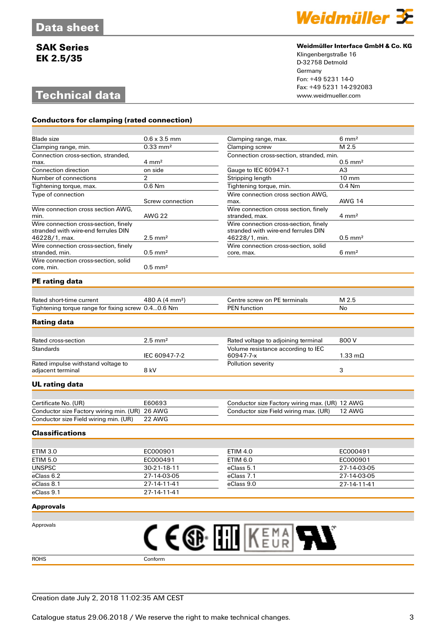# **Technical data**

**Conductors for clamping (rated connection)**



### **Weidmüller Interface GmbH & Co. KG**

Klingenbergstraße 16 D-32758 Detmold Germany Fon: +49 5231 14-0 Fax: +49 5231 14-292083

| <b>Blade</b> size                                  | $0.6 \times 3.5$ mm                            | Clamping range, max.                                    | $6 \text{ mm}^2$      |
|----------------------------------------------------|------------------------------------------------|---------------------------------------------------------|-----------------------|
| Clamping range, min.                               | M 2.5<br>$0.33 \text{ mm}^2$<br>Clamping screw |                                                         |                       |
| Connection cross-section, stranded,                |                                                | Connection cross-section, stranded, min.                |                       |
| max.                                               | $4 \text{ mm}^2$                               |                                                         | $0.5$ mm <sup>2</sup> |
| <b>Connection direction</b>                        | on side                                        | Gauge to IEC 60947-1                                    | A3                    |
| Number of connections                              | 2                                              | Stripping length                                        | $10 \text{ mm}$       |
| Tightening torque, max.                            | 0.6 Nm                                         | Tightening torque, min.                                 | $0.4$ Nm              |
| Type of connection                                 |                                                | Wire connection cross section AWG.                      |                       |
|                                                    | Screw connection                               | max.                                                    | <b>AWG 14</b>         |
| Wire connection cross section AWG,<br>min.         | <b>AWG 22</b>                                  | Wire connection cross section, finely<br>stranded, max. | $4 \text{ mm}^2$      |
| Wire connection cross-section, finely              |                                                | Wire connection cross-section, finely                   |                       |
| stranded with wire-end ferrules DIN                |                                                | stranded with wire-end ferrules DIN                     |                       |
| 46228/1, max.                                      | $2.5 \text{ mm}^2$                             | 46228/1, min.                                           | $0.5$ mm <sup>2</sup> |
| Wire connection cross-section, finely              |                                                | Wire connection cross-section, solid                    |                       |
| stranded, min.                                     | $0.5$ mm <sup>2</sup>                          | core, max.                                              | $6 \text{ mm}^2$      |
| Wire connection cross-section, solid               |                                                |                                                         |                       |
| core, min.                                         | $0.5$ mm <sup>2</sup>                          |                                                         |                       |
| <b>PE</b> rating data                              |                                                |                                                         |                       |
|                                                    |                                                |                                                         |                       |
| Rated short-time current                           | 480 A (4 mm <sup>2</sup> )                     | Centre screw on PE terminals                            | M 2.5                 |
| Tightening torque range for fixing screw 0.40.6 Nm |                                                | <b>PEN</b> function                                     | No                    |
|                                                    |                                                |                                                         |                       |
| <b>Rating data</b>                                 |                                                |                                                         |                       |
|                                                    |                                                |                                                         |                       |
| Rated cross-section                                | $2.5$ mm <sup>2</sup>                          | Rated voltage to adjoining terminal                     | 800 V                 |
| <b>Standards</b>                                   |                                                | Volume resistance according to IEC                      |                       |
|                                                    | IEC 60947-7-2                                  | 60947-7-x                                               | $1.33 \text{ mA}$     |
| Rated impulse withstand voltage to                 |                                                | Pollution severity                                      |                       |
| adjacent terminal                                  | 8 kV                                           |                                                         | 3                     |
| <b>UL</b> rating data                              |                                                |                                                         |                       |
|                                                    |                                                |                                                         |                       |
| Certificate No. (UR)                               | E60693                                         | Conductor size Factory wiring max. (UR) 12 AWG          |                       |
| Conductor size Factory wiring min. (UR) 26 AWG     |                                                | Conductor size Field wiring max. (UR)                   | 12 AWG                |
| Conductor size Field wiring min. (UR)              | 22 AWG                                         |                                                         |                       |
| <b>Classifications</b>                             |                                                |                                                         |                       |
|                                                    |                                                |                                                         |                       |
| <b>ETIM 3.0</b>                                    | EC000901                                       | <b>ETIM 4.0</b>                                         | EC000491              |

| ETIM 3.0      | EC000901    | <b>ETIM 4.0</b> | EC000491    |
|---------------|-------------|-----------------|-------------|
| ETIM 5.0      | EC000491    | ETIM 6.0        | EC000901    |
| <b>UNSPSC</b> | 30-21-18-11 | eClass 5.1      | 27-14-03-05 |
| eClass 6.2    | 27-14-03-05 | eClass 7.1      | 27-14-03-05 |
| eClass 8.1    | 27-14-11-41 | eClass 9.0      | 27-14-11-41 |
| eClass 9.1    | 27-14-11-41 |                 |             |

#### **Approvals**

| Approvals   | Δ∵<br>n an<br>A I<br><b>TAL</b> |
|-------------|---------------------------------|
| <b>ROHS</b> | Conform                         |

### Creation date July 2, 2018 11:02:35 AM CEST